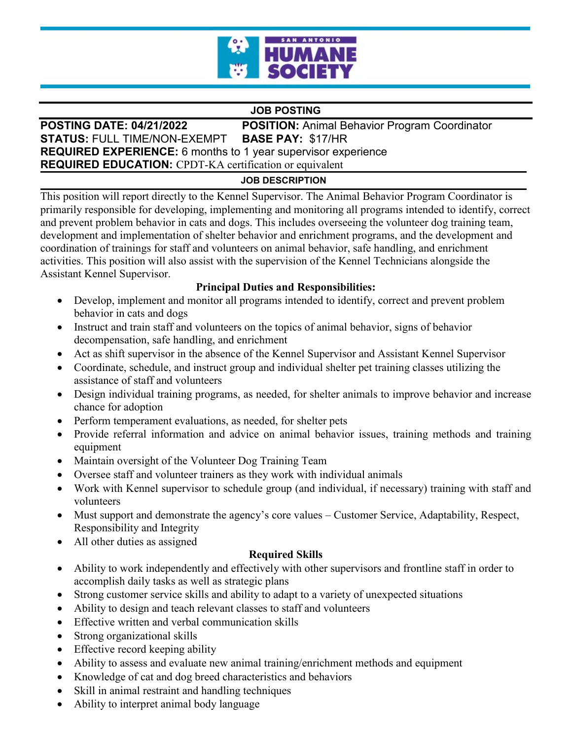

### **JOB POSTING**

**POSTING DATE: 04/21/2022 POSITION:** Animal Behavior Program Coordinator **STATUS:** FULL TIME/NON-EXEMPT **BASE PAY:** \$17/HR **REQUIRED EXPERIENCE:** 6 months to 1 year supervisor experience **REQUIRED EDUCATION:** CPDT-KA certification or equivalent

#### **JOB DESCRIPTION**

This position will report directly to the Kennel Supervisor. The Animal Behavior Program Coordinator is primarily responsible for developing, implementing and monitoring all programs intended to identify, correct and prevent problem behavior in cats and dogs. This includes overseeing the volunteer dog training team, development and implementation of shelter behavior and enrichment programs, and the development and coordination of trainings for staff and volunteers on animal behavior, safe handling, and enrichment activities. This position will also assist with the supervision of the Kennel Technicians alongside the Assistant Kennel Supervisor.

## **Principal Duties and Responsibilities:**

- Develop, implement and monitor all programs intended to identify, correct and prevent problem behavior in cats and dogs
- Instruct and train staff and volunteers on the topics of animal behavior, signs of behavior decompensation, safe handling, and enrichment
- Act as shift supervisor in the absence of the Kennel Supervisor and Assistant Kennel Supervisor
- Coordinate, schedule, and instruct group and individual shelter pet training classes utilizing the assistance of staff and volunteers
- Design individual training programs, as needed, for shelter animals to improve behavior and increase chance for adoption
- Perform temperament evaluations, as needed, for shelter pets
- Provide referral information and advice on animal behavior issues, training methods and training equipment
- Maintain oversight of the Volunteer Dog Training Team
- Oversee staff and volunteer trainers as they work with individual animals
- Work with Kennel supervisor to schedule group (and individual, if necessary) training with staff and volunteers
- Must support and demonstrate the agency's core values Customer Service, Adaptability, Respect, Responsibility and Integrity
- All other duties as assigned

## **Required Skills**

- Ability to work independently and effectively with other supervisors and frontline staff in order to accomplish daily tasks as well as strategic plans
- Strong customer service skills and ability to adapt to a variety of unexpected situations
- Ability to design and teach relevant classes to staff and volunteers
- Effective written and verbal communication skills
- Strong organizational skills
- Effective record keeping ability
- Ability to assess and evaluate new animal training/enrichment methods and equipment
- Knowledge of cat and dog breed characteristics and behaviors
- Skill in animal restraint and handling techniques
- Ability to interpret animal body language